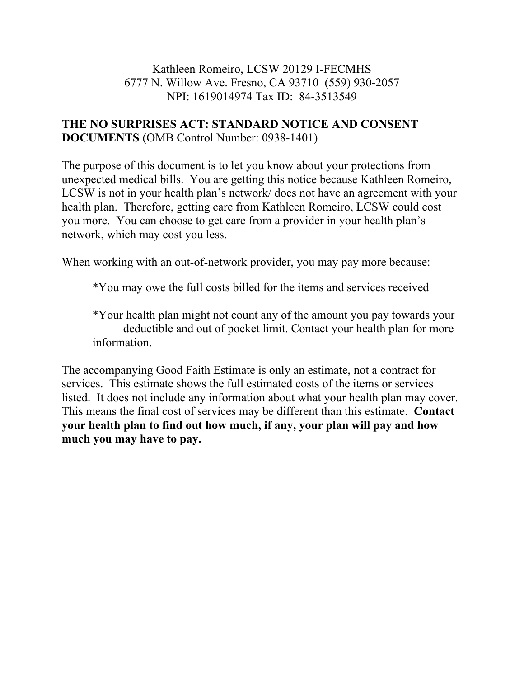#### Kathleen Romeiro, LCSW 20129 I-FECMHS 6777 N. Willow Ave. Fresno, CA 93710 (559) 930-2057 NPI: 1619014974 Tax ID: 84-3513549

### **THE NO SURPRISES ACT: STANDARD NOTICE AND CONSENT DOCUMENTS** (OMB Control Number: 0938-1401)

The purpose of this document is to let you know about your protections from unexpected medical bills. You are getting this notice because Kathleen Romeiro, LCSW is not in your health plan's network/ does not have an agreement with your health plan. Therefore, getting care from Kathleen Romeiro, LCSW could cost you more. You can choose to get care from a provider in your health plan's network, which may cost you less.

When working with an out-of-network provider, you may pay more because:

\*You may owe the full costs billed for the items and services received

\*Your health plan might not count any of the amount you pay towards your deductible and out of pocket limit. Contact your health plan for more information.

The accompanying Good Faith Estimate is only an estimate, not a contract for services. This estimate shows the full estimated costs of the items or services listed. It does not include any information about what your health plan may cover. This means the final cost of services may be different than this estimate. **Contact your health plan to find out how much, if any, your plan will pay and how much you may have to pay.**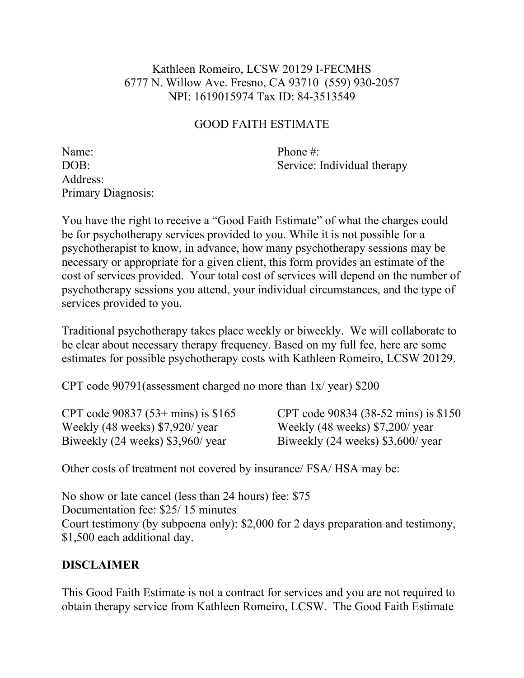### Kathleen Romeiro, LCSW 20129 I-FECMHS 6777 N. Willow Ave. Fresno, CA 93710 (559) 930-2057 NPI: 1619015974 Tax ID: 84-3513549

## GOOD FAITH ESTIMATE

Name: Phone #: Address: Primary Diagnosis:

DOB: Service: Individual therapy

You have the right to receive a "Good Faith Estimate" of what the charges could be for psychotherapy services provided to you. While it is not possible for a psychotherapist to know, in advance, how many psychotherapy sessions may be necessary or appropriate for a given client, this form provides an estimate of the cost of services provided. Your total cost of services will depend on the number of psychotherapy sessions you attend, your individual circumstances, and the type of services provided to you.

Traditional psychotherapy takes place weekly or biweekly. We will collaborate to be clear about necessary therapy frequency. Based on my full fee, here are some estimates for possible psychotherapy costs with Kathleen Romeiro, LCSW 20129.

CPT code 90791(assessment charged no more than 1x/ year) \$200

Weekly (48 weeks) \$7,920/ year Weekly (48 weeks) \$7,200/ year Biweekly (24 weeks) \$3,960/ year Biweekly (24 weeks) \$3,600/ year

CPT code 90837 (53+ mins) is \$165 CPT code 90834 (38-52 mins) is \$150

Other costs of treatment not covered by insurance/ FSA/ HSA may be:

No show or late cancel (less than 24 hours) fee: \$75 Documentation fee: \$25/15 minutes Court testimony (by subpoena only): \$2,000 for 2 days preparation and testimony, \$1,500 each additional day.

# **DISCLAIMER**

This Good Faith Estimate is not a contract for services and you are not required to obtain therapy service from Kathleen Romeiro, LCSW. The Good Faith Estimate